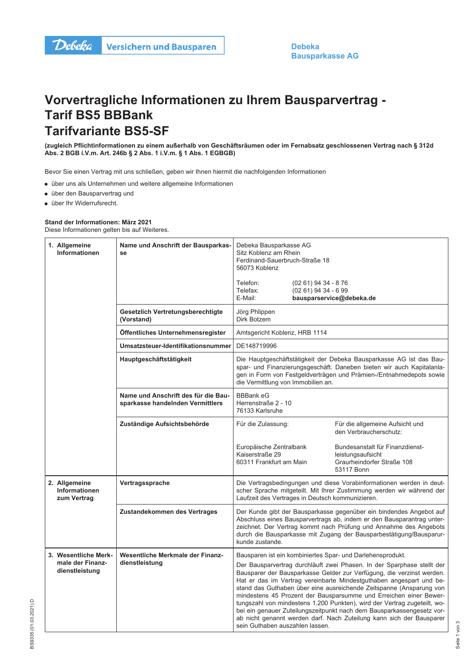## Vorvertragliche Informationen zu Ihrem Bausparvertrag -**Tarif BS5 BBBank Tarifvariante BS5-SF**

(zugleich Pflichtinformationen zu einem außerhalb von Geschäftsräumen oder im Fernabsatz geschlossenen Vertrag nach § 312d Abs. 2 BGB i.V.m. Art. 246b § 2 Abs. 1 i.V.m. § 1 Abs. 1 EGBGB)

Bevor Sie einen Vertrag mit uns schließen, geben wir Ihnen hiermit die nachfolgenden Informationen

- über uns als Unternehmen und weitere allgemeine Informationen
- · über den Bausparvertrag und
- · über Ihr Widerrufsrecht.

## Stand der Informationen: März 2021

Diese Informationen gelten bis auf Weiteres.

| 1. Allgemeine<br><b>Informationen</b>                      | Name und Anschrift der Bausparkas-<br>se                                | Debeka Bausparkasse AG<br>Sitz Koblenz am Rhein<br>Ferdinand-Sauerbruch-Straße 18<br>56073 Koblenz<br>Telefon:                                                                                                                                                                                                                                                                                                                                                                                                                                                                                                                                                                                   | (02 61) 94 34 - 8 76  |                                                                                                                                                                                                                                                                                          |
|------------------------------------------------------------|-------------------------------------------------------------------------|--------------------------------------------------------------------------------------------------------------------------------------------------------------------------------------------------------------------------------------------------------------------------------------------------------------------------------------------------------------------------------------------------------------------------------------------------------------------------------------------------------------------------------------------------------------------------------------------------------------------------------------------------------------------------------------------------|-----------------------|------------------------------------------------------------------------------------------------------------------------------------------------------------------------------------------------------------------------------------------------------------------------------------------|
|                                                            |                                                                         | Telefax:<br>E-Mail:                                                                                                                                                                                                                                                                                                                                                                                                                                                                                                                                                                                                                                                                              | $(0261)$ 94 34 - 6 99 | bausparservice@debeka.de                                                                                                                                                                                                                                                                 |
|                                                            | Gesetzlich Vertretungsberechtigte<br>(Vorstand)                         | Jörg Phlippen<br>Dirk Botzem                                                                                                                                                                                                                                                                                                                                                                                                                                                                                                                                                                                                                                                                     |                       |                                                                                                                                                                                                                                                                                          |
|                                                            | Öffentliches Unternehmensregister                                       | Amtsgericht Koblenz, HRB 1114<br>DE148719996                                                                                                                                                                                                                                                                                                                                                                                                                                                                                                                                                                                                                                                     |                       |                                                                                                                                                                                                                                                                                          |
|                                                            | Umsatzsteuer-Identifikationsnummer                                      |                                                                                                                                                                                                                                                                                                                                                                                                                                                                                                                                                                                                                                                                                                  |                       |                                                                                                                                                                                                                                                                                          |
|                                                            | Hauptgeschäftstätigkeit                                                 | Die Hauptgeschäftstätigkeit der Debeka Bausparkasse AG ist das Bau-<br>spar- und Finanzierungsgeschäft. Daneben bieten wir auch Kapitalanla-<br>gen in Form von Festgeldverträgen und Prämien-/Entnahmedepots sowie<br>die Vermittlung von Immobilien an.                                                                                                                                                                                                                                                                                                                                                                                                                                        |                       |                                                                                                                                                                                                                                                                                          |
|                                                            | Name und Anschrift des für die Bau-<br>sparkasse handelnden Vermittlers | <b>BBBank eG</b><br>Herrenstraße 2 - 10<br>76133 Karlsruhe                                                                                                                                                                                                                                                                                                                                                                                                                                                                                                                                                                                                                                       |                       |                                                                                                                                                                                                                                                                                          |
|                                                            | Zuständige Aufsichtsbehörde                                             | Für die Zulassung:                                                                                                                                                                                                                                                                                                                                                                                                                                                                                                                                                                                                                                                                               |                       | Für die allgemeine Aufsicht und<br>den Verbraucherschutz:                                                                                                                                                                                                                                |
|                                                            |                                                                         | Europäische Zentralbank<br>Kaiserstraße 29<br>60311 Frankfurt am Main                                                                                                                                                                                                                                                                                                                                                                                                                                                                                                                                                                                                                            |                       | Bundesanstalt für Finanzdienst-<br>leistungsaufsicht<br>Graurheindorfer Straße 108<br>53117 Bonn                                                                                                                                                                                         |
| 2. Allgemeine<br><b>Informationen</b><br>zum Vertrag       | Vertragssprache                                                         | Die Vertragsbedingungen und diese Vorabinformationen werden in deut-<br>scher Sprache mitgeteilt. Mit Ihrer Zustimmung werden wir während der<br>Laufzeit des Vertrages in Deutsch kommunizieren.                                                                                                                                                                                                                                                                                                                                                                                                                                                                                                |                       |                                                                                                                                                                                                                                                                                          |
|                                                            | Zustandekommen des Vertrages                                            | kunde zustande.                                                                                                                                                                                                                                                                                                                                                                                                                                                                                                                                                                                                                                                                                  |                       | Der Kunde gibt der Bausparkasse gegenüber ein bindendes Angebot auf<br>Abschluss eines Bausparvertrags ab, indem er den Bausparantrag unter-<br>zeichnet. Der Vertrag kommt nach Prüfung und Annahme des Angebots<br>durch die Bausparkasse mit Zugang der Bausparbestätigung/Bausparur- |
| 3. Wesentliche Merk-<br>male der Finanz-<br>dienstleistung | Wesentliche Merkmale der Finanz-<br>dienstleistung                      | Bausparen ist ein kombiniertes Spar- und Darlehensprodukt.<br>Der Bausparvertrag durchläuft zwei Phasen. In der Sparphase stellt der<br>Bausparer der Bausparkasse Gelder zur Verfügung, die verzinst werden.<br>Hat er das im Vertrag vereinbarte Mindestguthaben angespart und be-<br>stand das Guthaben über eine ausreichende Zeitspanne (Ansparung von<br>mindestens 45 Prozent der Bausparsumme und Erreichen einer Bewer-<br>tungszahl von mindestens 1.200 Punkten), wird der Vertrag zugeteilt, wo-<br>bei ein genauer Zuteilungszeitpunkt nach dem Bausparkassengesetz vor-<br>ab nicht genannt werden darf. Nach Zuteilung kann sich der Bausparer<br>sein Guthaben auszahlen lassen. |                       |                                                                                                                                                                                                                                                                                          |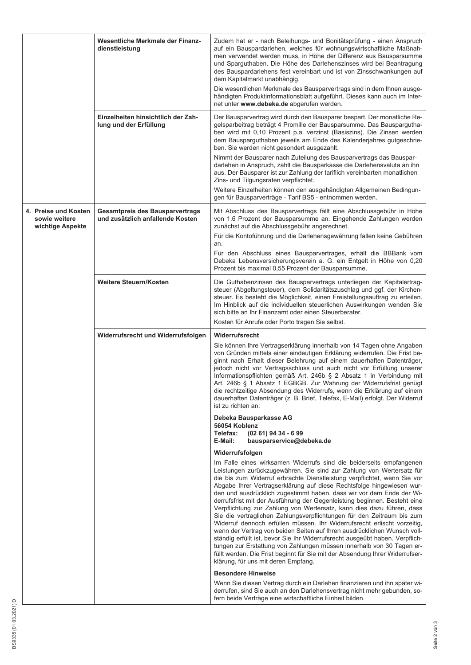|                                                           | Wesentliche Merkmale der Finanz-<br>dienstleistung                         | Zudem hat er - nach Beleihungs- und Bonitätsprüfung - einen Anspruch<br>auf ein Bauspardarlehen, welches für wohnungswirtschaftliche Maßnah-<br>men verwendet werden muss, in Höhe der Differenz aus Bausparsumme<br>und Sparguthaben. Die Höhe des Darlehenszinses wird bei Beantragung<br>des Bauspardarlehens fest vereinbart und ist von Zinsschwankungen auf<br>dem Kapitalmarkt unabhängig.<br>Die wesentlichen Merkmale des Bausparvertrags sind in dem Ihnen ausge-<br>händigten Produktinformationsblatt aufgeführt. Dieses kann auch im Inter-<br>net unter www.debeka.de abgerufen werden.                                                                                                                                                                                                                                                                                                                                                                                                                                           |  |
|-----------------------------------------------------------|----------------------------------------------------------------------------|-------------------------------------------------------------------------------------------------------------------------------------------------------------------------------------------------------------------------------------------------------------------------------------------------------------------------------------------------------------------------------------------------------------------------------------------------------------------------------------------------------------------------------------------------------------------------------------------------------------------------------------------------------------------------------------------------------------------------------------------------------------------------------------------------------------------------------------------------------------------------------------------------------------------------------------------------------------------------------------------------------------------------------------------------|--|
|                                                           |                                                                            |                                                                                                                                                                                                                                                                                                                                                                                                                                                                                                                                                                                                                                                                                                                                                                                                                                                                                                                                                                                                                                                 |  |
|                                                           | Einzelheiten hinsichtlich der Zah-<br>lung und der Erfüllung               | Der Bausparvertrag wird durch den Bausparer bespart. Der monatliche Re-<br>gelsparbeitrag beträgt 4 Promille der Bausparsumme. Das Bauspargutha-<br>ben wird mit 0,10 Prozent p.a. verzinst (Basiszins). Die Zinsen werden<br>dem Bausparguthaben jeweils am Ende des Kalenderjahres gutgeschrie-<br>ben. Sie werden nicht gesondert ausgezahlt.                                                                                                                                                                                                                                                                                                                                                                                                                                                                                                                                                                                                                                                                                                |  |
|                                                           |                                                                            | Nimmt der Bausparer nach Zuteilung des Bausparvertrags das Bauspar-<br>darlehen in Anspruch, zahlt die Bausparkasse die Darlehensvaluta an ihn<br>aus. Der Bausparer ist zur Zahlung der tariflich vereinbarten monatlichen<br>Zins- und Tilgungsraten verpflichtet.<br>Weitere Einzelheiten können den ausgehändigten Allgemeinen Bedingun-                                                                                                                                                                                                                                                                                                                                                                                                                                                                                                                                                                                                                                                                                                    |  |
|                                                           |                                                                            | gen für Bausparverträge - Tarif BS5 - entnommen werden.                                                                                                                                                                                                                                                                                                                                                                                                                                                                                                                                                                                                                                                                                                                                                                                                                                                                                                                                                                                         |  |
| 4. Preise und Kosten<br>sowie weitere<br>wichtige Aspekte | <b>Gesamtpreis des Bausparvertrags</b><br>und zusätzlich anfallende Kosten | Mit Abschluss des Bausparvertrags fällt eine Abschlussgebühr in Höhe<br>von 1,6 Prozent der Bausparsumme an. Eingehende Zahlungen werden<br>zunächst auf die Abschlussgebühr angerechnet.                                                                                                                                                                                                                                                                                                                                                                                                                                                                                                                                                                                                                                                                                                                                                                                                                                                       |  |
|                                                           |                                                                            | Für die Kontoführung und die Darlehensgewährung fallen keine Gebühren<br>an.                                                                                                                                                                                                                                                                                                                                                                                                                                                                                                                                                                                                                                                                                                                                                                                                                                                                                                                                                                    |  |
|                                                           |                                                                            | Für den Abschluss eines Bausparvertrages, erhält die BBBank vom<br>Debeka Lebensversicherungsverein a. G. ein Entgelt in Höhe von 0,20<br>Prozent bis maximal 0,55 Prozent der Bausparsumme.                                                                                                                                                                                                                                                                                                                                                                                                                                                                                                                                                                                                                                                                                                                                                                                                                                                    |  |
|                                                           | Weitere Steuern/Kosten                                                     | Die Guthabenzinsen des Bausparvertrags unterliegen der Kapitalertrag-<br>steuer (Abgeltungsteuer), dem Solidaritätszuschlag und ggf. der Kirchen-<br>steuer. Es besteht die Möglichkeit, einen Freistellungsauftrag zu erteilen.<br>Im Hinblick auf die individuellen steuerlichen Auswirkungen wenden Sie<br>sich bitte an Ihr Finanzamt oder einen Steuerberater.                                                                                                                                                                                                                                                                                                                                                                                                                                                                                                                                                                                                                                                                             |  |
|                                                           |                                                                            | Kosten für Anrufe oder Porto tragen Sie selbst.                                                                                                                                                                                                                                                                                                                                                                                                                                                                                                                                                                                                                                                                                                                                                                                                                                                                                                                                                                                                 |  |
|                                                           | Widerrufsrecht und Widerrufsfolgen                                         | Widerrufsrecht<br>Sie können Ihre Vertragserklärung innerhalb von 14 Tagen ohne Angaben<br>von Gründen mittels einer eindeutigen Erklärung widerrufen. Die Frist be-<br>ginnt nach Erhalt dieser Belehrung auf einem dauerhaften Datenträger,<br>jedoch nicht vor Vertragsschluss und auch nicht vor Erfüllung unserer<br>Informationspflichten gemäß Art. 246b § 2 Absatz 1 in Verbindung mit<br>Art. 246b § 1 Absatz 1 EGBGB. Zur Wahrung der Widerrufsfrist genügt<br>die rechtzeitige Absendung des Widerrufs, wenn die Erklärung auf einem<br>dauerhaften Datenträger (z. B. Brief, Telefax, E-Mail) erfolgt. Der Widerruf<br>ist zu richten an:                                                                                                                                                                                                                                                                                                                                                                                           |  |
|                                                           |                                                                            | Debeka Bausparkasse AG                                                                                                                                                                                                                                                                                                                                                                                                                                                                                                                                                                                                                                                                                                                                                                                                                                                                                                                                                                                                                          |  |
|                                                           |                                                                            | 56054 Koblenz<br>Telefax:<br>$(0261)$ 94 34 - 6 99                                                                                                                                                                                                                                                                                                                                                                                                                                                                                                                                                                                                                                                                                                                                                                                                                                                                                                                                                                                              |  |
|                                                           |                                                                            | E-Mail:<br>bausparservice@debeka.de                                                                                                                                                                                                                                                                                                                                                                                                                                                                                                                                                                                                                                                                                                                                                                                                                                                                                                                                                                                                             |  |
|                                                           |                                                                            | Widerrufsfolgen                                                                                                                                                                                                                                                                                                                                                                                                                                                                                                                                                                                                                                                                                                                                                                                                                                                                                                                                                                                                                                 |  |
|                                                           |                                                                            | Im Falle eines wirksamen Widerrufs sind die beiderseits empfangenen<br>Leistungen zurückzugewähren. Sie sind zur Zahlung von Wertersatz für<br>die bis zum Widerruf erbrachte Dienstleistung verpflichtet, wenn Sie vor<br>Abgabe Ihrer Vertragserklärung auf diese Rechtsfolge hingewiesen wur-<br>den und ausdrücklich zugestimmt haben, dass wir vor dem Ende der Wi-<br>derrufsfrist mit der Ausführung der Gegenleistung beginnen. Besteht eine<br>Verpflichtung zur Zahlung von Wertersatz, kann dies dazu führen, dass<br>Sie die vertraglichen Zahlungsverpflichtungen für den Zeitraum bis zum<br>Widerruf dennoch erfüllen müssen. Ihr Widerrufsrecht erlischt vorzeitig,<br>wenn der Vertrag von beiden Seiten auf Ihren ausdrücklichen Wunsch voll-<br>ständig erfüllt ist, bevor Sie Ihr Widerrufsrecht ausgeübt haben. Verpflich-<br>tungen zur Erstattung von Zahlungen müssen innerhalb von 30 Tagen er-<br>füllt werden. Die Frist beginnt für Sie mit der Absendung Ihrer Widerrufser-<br>klärung, für uns mit deren Empfang. |  |
|                                                           |                                                                            | <b>Besondere Hinweise</b>                                                                                                                                                                                                                                                                                                                                                                                                                                                                                                                                                                                                                                                                                                                                                                                                                                                                                                                                                                                                                       |  |
|                                                           |                                                                            | Wenn Sie diesen Vertrag durch ein Darlehen finanzieren und ihn später wi-<br>derrufen, sind Sie auch an den Darlehensvertrag nicht mehr gebunden, so-<br>fern beide Verträge eine wirtschaftliche Einheit bilden.                                                                                                                                                                                                                                                                                                                                                                                                                                                                                                                                                                                                                                                                                                                                                                                                                               |  |